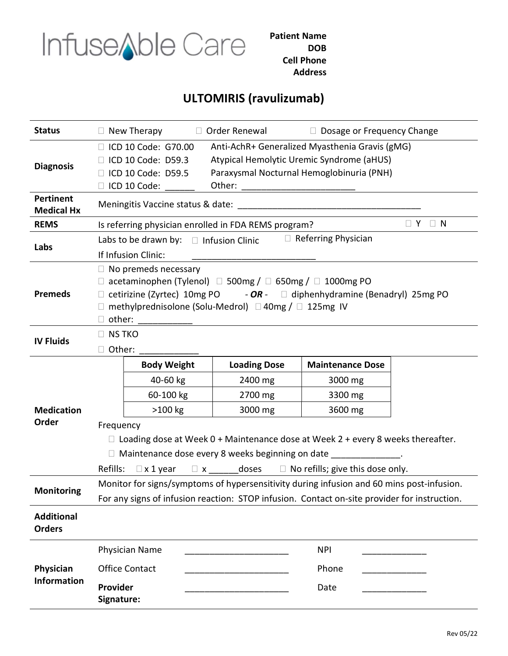

Patient Name DOB Cell Phone Address

## ULTOMIRIS (ravulizumab)

| <b>Status</b>                         | $\Box$ New Therapy                                                                                                                                                                                                                                                        |                    | $\Box$ Order Renewal | $\Box$ Dosage or Frequency Change |  |  |  |  |  |
|---------------------------------------|---------------------------------------------------------------------------------------------------------------------------------------------------------------------------------------------------------------------------------------------------------------------------|--------------------|----------------------|-----------------------------------|--|--|--|--|--|
| <b>Diagnosis</b>                      | Anti-AchR+ Generalized Myasthenia Gravis (gMG)<br>□ ICD 10 Code: G70.00<br>Atypical Hemolytic Uremic Syndrome (aHUS)<br>ICD 10 Code: D59.3<br>Paraxysmal Nocturnal Hemoglobinuria (PNH)<br>ICD 10 Code: D59.5<br>Other:<br>ICD 10 Code:                                   |                    |                      |                                   |  |  |  |  |  |
| <b>Pertinent</b><br><b>Medical Hx</b> | Meningitis Vaccine status & date: National State of the Meningitis Vaccine status & date:                                                                                                                                                                                 |                    |                      |                                   |  |  |  |  |  |
| <b>REMS</b>                           | $\Box$ Y $\Box$ N<br>Is referring physician enrolled in FDA REMS program?                                                                                                                                                                                                 |                    |                      |                                   |  |  |  |  |  |
| Labs                                  | $\Box$ Referring Physician<br>Labs to be drawn by: $\Box$ Infusion Clinic<br>If Infusion Clinic:                                                                                                                                                                          |                    |                      |                                   |  |  |  |  |  |
| <b>Premeds</b>                        | $\Box$ No premeds necessary<br>□ acetaminophen (Tylenol) □ 500mg / □ 650mg / □ 1000mg PO<br>$\Box$ cetirizine (Zyrtec) 10mg PO - OR - $\Box$ diphenhydramine (Benadryl) 25mg PO<br>$\Box$ methylprednisolone (Solu-Medrol) $\Box$ 40mg / $\Box$ 125mg IV<br>$\Box$ other: |                    |                      |                                   |  |  |  |  |  |
| <b>IV Fluids</b>                      | $\Box$ NS TKO<br>Other:<br>$\Box$                                                                                                                                                                                                                                         |                    |                      |                                   |  |  |  |  |  |
|                                       |                                                                                                                                                                                                                                                                           | <b>Body Weight</b> | <b>Loading Dose</b>  | <b>Maintenance Dose</b>           |  |  |  |  |  |
|                                       |                                                                                                                                                                                                                                                                           | 40-60 kg           | 2400 mg              | 3000 mg                           |  |  |  |  |  |
|                                       |                                                                                                                                                                                                                                                                           | 60-100 kg          | 2700 mg              | 3300 mg                           |  |  |  |  |  |
| <b>Medication</b>                     |                                                                                                                                                                                                                                                                           | >100 kg            | 3000 mg              | 3600 mg                           |  |  |  |  |  |
| Order                                 | Frequency                                                                                                                                                                                                                                                                 |                    |                      |                                   |  |  |  |  |  |
|                                       | $\Box$ Loading dose at Week 0 + Maintenance dose at Week 2 + every 8 weeks thereafter.                                                                                                                                                                                    |                    |                      |                                   |  |  |  |  |  |
|                                       | $\Box$ Maintenance dose every 8 weeks beginning on date                                                                                                                                                                                                                   |                    |                      |                                   |  |  |  |  |  |
|                                       | $\Box$ x _________ doses $\Box$ No refills; give this dose only.<br>Refills:<br>$\Box$ x 1 year                                                                                                                                                                           |                    |                      |                                   |  |  |  |  |  |
| <b>Monitoring</b>                     | Monitor for signs/symptoms of hypersensitivity during infusion and 60 mins post-infusion.                                                                                                                                                                                 |                    |                      |                                   |  |  |  |  |  |
|                                       | For any signs of infusion reaction: STOP infusion. Contact on-site provider for instruction.                                                                                                                                                                              |                    |                      |                                   |  |  |  |  |  |
| <b>Additional</b><br><b>Orders</b>    |                                                                                                                                                                                                                                                                           |                    |                      |                                   |  |  |  |  |  |
|                                       | <b>Physician Name</b>                                                                                                                                                                                                                                                     |                    | <b>NPI</b>           |                                   |  |  |  |  |  |
| Physician                             | <b>Office Contact</b>                                                                                                                                                                                                                                                     |                    | Phone                |                                   |  |  |  |  |  |
| <b>Information</b>                    | Provider<br>Signature:                                                                                                                                                                                                                                                    |                    |                      | Date                              |  |  |  |  |  |